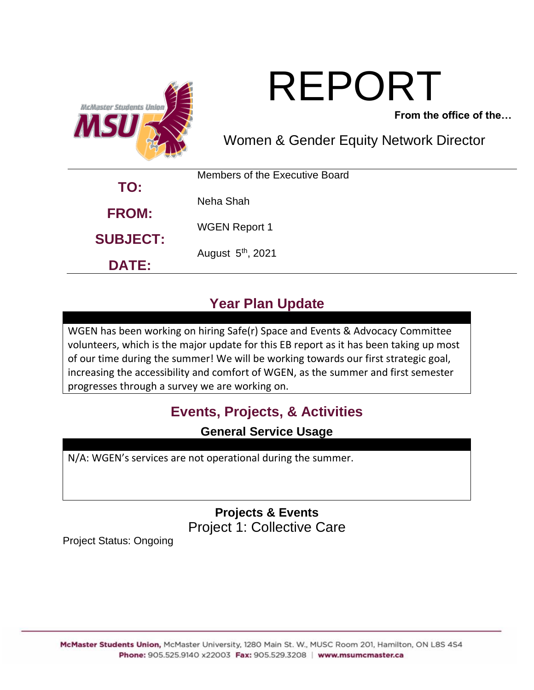

# REPORT

**From the office of the…**

Women & Gender Equity Network Director

| TO:                             | Members of the Executive Board |
|---------------------------------|--------------------------------|
| <b>FROM:</b>                    | Neha Shah                      |
| <b>SUBJECT:</b><br><b>DATE:</b> | <b>WGEN Report 1</b>           |
|                                 | August 5 <sup>th</sup> , 2021  |
|                                 |                                |

# **Year Plan Update**

WGEN has been working on hiring Safe(r) Space and Events & Advocacy Committee volunteers, which is the major update for this EB report as it has been taking up most of our time during the summer! We will be working towards our first strategic goal, increasing the accessibility and comfort of WGEN, as the summer and first semester progresses through a survey we are working on.

# **Events, Projects, & Activities**

**General Service Usage**

N/A: WGEN's services are not operational during the summer.

**Projects & Events** Project 1: Collective Care

Project Status: Ongoing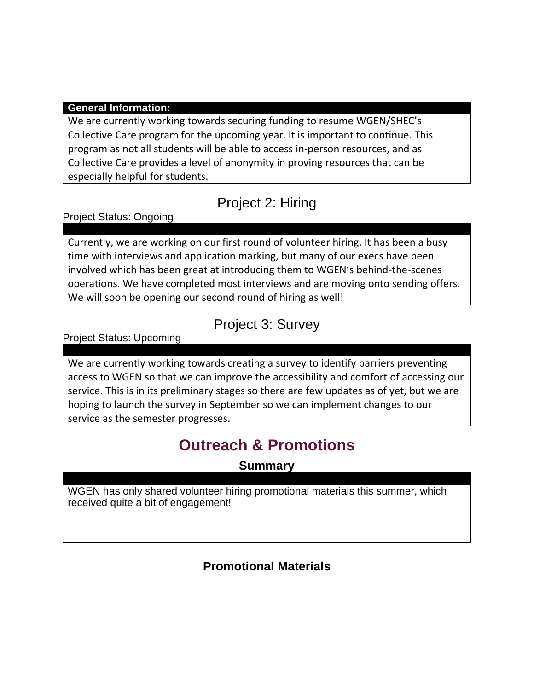#### **General Information:**

We are currently working towards securing funding to resume WGEN/SHEC's Collective Care program for the upcoming year. It is important to continue. This program as not all students will be able to access in-person resources, and as Collective Care provides a level of anonymity in proving resources that can be especially helpful for students.

## Project 2: Hiring

Project Status: Ongoing

Currently, we are working on our first round of volunteer hiring. It has been a busy time with interviews and application marking, but many of our execs have been involved which has been great at introducing them to WGEN's behind-the-scenes operations. We have completed most interviews and are moving onto sending offers. We will soon be opening our second round of hiring as well!

#### Project 3: Survey

Project Status: Upcoming

We are currently working towards creating a survey to identify barriers preventing access to WGEN so that we can improve the accessibility and comfort of accessing our service. This is in its preliminary stages so there are few updates as of yet, but we are hoping to launch the survey in September so we can implement changes to our service as the semester progresses.

# **Outreach & Promotions**

**Summary**

WGEN has only shared volunteer hiring promotional materials this summer, which received quite a bit of engagement!

#### **Promotional Materials**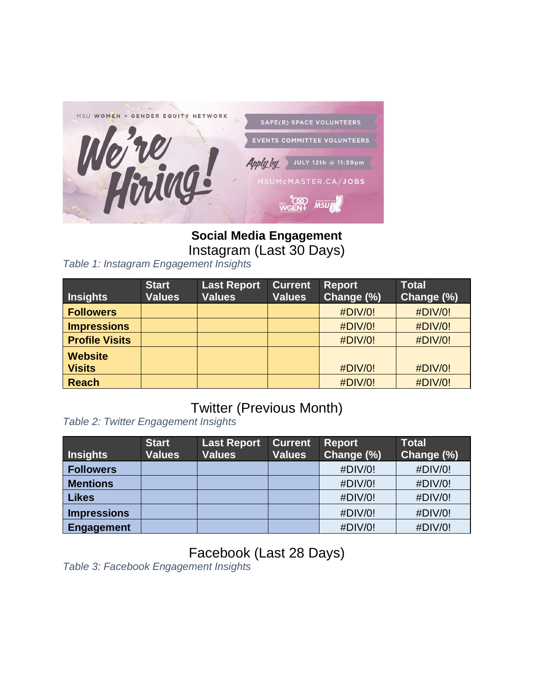

**Social Media Engagement** Instagram (Last 30 Days)

*Table 1: Instagram Engagement Insights*

| <b>Insights</b>                 | <b>Start</b><br><b>Values</b> | <b>Last Report</b><br><b>Values</b> | <b>Current</b><br><b>Values</b> | <b>Report</b><br>Change (%) | <b>Total</b><br>Change (%) |
|---------------------------------|-------------------------------|-------------------------------------|---------------------------------|-----------------------------|----------------------------|
| <b>Followers</b>                |                               |                                     |                                 | #DIV/0!                     | #DIV/0!                    |
| <b>Impressions</b>              |                               |                                     |                                 | #DIV/0!                     | #DIV/0!                    |
| <b>Profile Visits</b>           |                               |                                     |                                 | #DIV/0!                     | #DIV/0!                    |
| <b>Website</b><br><b>Visits</b> |                               |                                     |                                 | #DIV/0!                     | #DIV/0!                    |
| <b>Reach</b>                    |                               |                                     |                                 | #DIV/0!                     | #DIV/0!                    |

#### Twitter (Previous Month)

*Table 2: Twitter Engagement Insights*

| <b>Insights</b>    | <b>Start</b><br><b>Values</b> | Last Report<br><b>Values</b> | <b>Current</b><br><b>Values</b> | <b>Report</b><br>Change (%) | <b>Total</b><br>Change (%) |
|--------------------|-------------------------------|------------------------------|---------------------------------|-----------------------------|----------------------------|
| <b>Followers</b>   |                               |                              |                                 | #DIV/0!                     | #DIV/0!                    |
| <b>Mentions</b>    |                               |                              |                                 | #DIV/0!                     | #DIV/0!                    |
| <b>Likes</b>       |                               |                              |                                 | #DIV/0!                     | #DIV/0!                    |
| <b>Impressions</b> |                               |                              |                                 | #DIV/0!                     | #DIV/0!                    |
| Engagement         |                               |                              |                                 | #DIV/0!                     | #DIV/0!                    |

Facebook (Last 28 Days)

*Table 3: Facebook Engagement Insights*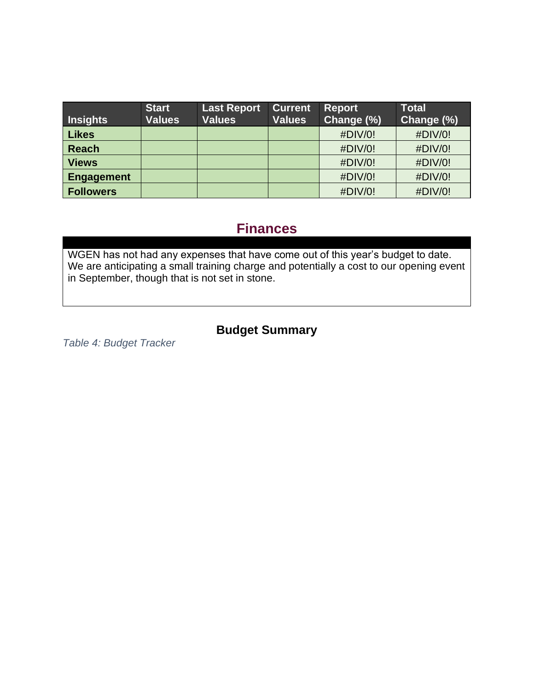| <b>Insights</b>   | <b>Start</b><br><b>Values</b> | <b>Last Report</b><br><b>Values</b> | <b>Current</b><br><b>Values</b> | <b>Report</b><br>Change (%) | <b>Total</b><br>Change (%) |
|-------------------|-------------------------------|-------------------------------------|---------------------------------|-----------------------------|----------------------------|
| <b>Likes</b>      |                               |                                     |                                 | #DIV/0!                     | #DIV/0!                    |
| <b>Reach</b>      |                               |                                     |                                 | #DIV/0!                     | #DIV/0!                    |
| <b>Views</b>      |                               |                                     |                                 | #DIV/0!                     | #DIV/0!                    |
| <b>Engagement</b> |                               |                                     |                                 | #DIV/0!                     | #DIV/0!                    |
| <b>Followers</b>  |                               |                                     |                                 | #DIV/0!                     | #DIV/0!                    |

#### **Finances**

WGEN has not had any expenses that have come out of this year's budget to date. We are anticipating a small training charge and potentially a cost to our opening event in September, though that is not set in stone.

#### **Budget Summary**

*Table 4: Budget Tracker*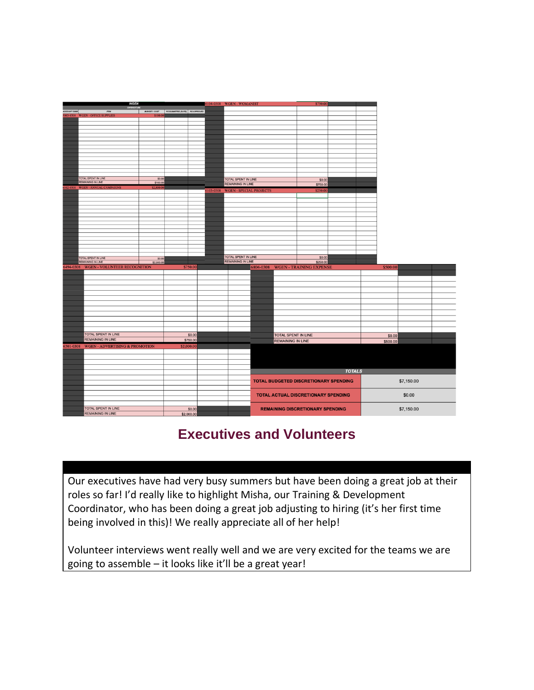

### **Executives and Volunteers**

Our executives have had very busy summers but have been doing a great job at their roles so far! I'd really like to highlight Misha, our Training & Development Coordinator, who has been doing a great job adjusting to hiring (it's her first time being involved in this)! We really appreciate all of her help!

Volunteer interviews went really well and we are very excited for the teams we are going to assemble – it looks like it'll be a great year!